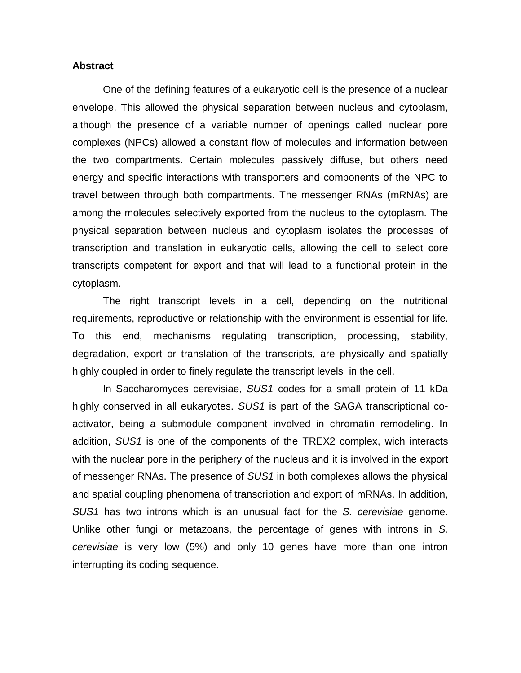## **Abstract**

One of the defining features of a eukaryotic cell is the presence of a nuclear envelope. This allowed the physical separation between nucleus and cytoplasm, although the presence of a variable number of openings called nuclear pore complexes (NPCs) allowed a constant flow of molecules and information between the two compartments. Certain molecules passively diffuse, but others need energy and specific interactions with transporters and components of the NPC to travel between through both compartments. The messenger RNAs (mRNAs) are among the molecules selectively exported from the nucleus to the cytoplasm. The physical separation between nucleus and cytoplasm isolates the processes of transcription and translation in eukaryotic cells, allowing the cell to select core transcripts competent for export and that will lead to a functional protein in the cytoplasm.

The right transcript levels in a cell, depending on the nutritional requirements, reproductive or relationship with the environment is essential for life. To this end, mechanisms regulating transcription, processing, stability, degradation, export or translation of the transcripts, are physically and spatially highly coupled in order to finely regulate the transcript levels in the cell.

In Saccharomyces cerevisiae, *SUS1* codes for a small protein of 11 kDa highly conserved in all eukaryotes. *SUS1* is part of the SAGA transcriptional coactivator, being a submodule component involved in chromatin remodeling. In addition, *SUS1* is one of the components of the TREX2 complex, wich interacts with the nuclear pore in the periphery of the nucleus and it is involved in the export of messenger RNAs. The presence of *SUS1* in both complexes allows the physical and spatial coupling phenomena of transcription and export of mRNAs. In addition, *SUS1* has two introns which is an unusual fact for the *S. cerevisiae* genome. Unlike other fungi or metazoans, the percentage of genes with introns in *S. cerevisiae* is very low (5%) and only 10 genes have more than one intron interrupting its coding sequence.